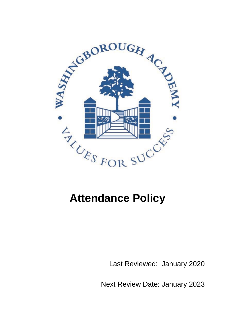

# **Attendance Policy**

Last Reviewed: January 2020

Next Review Date: January 2023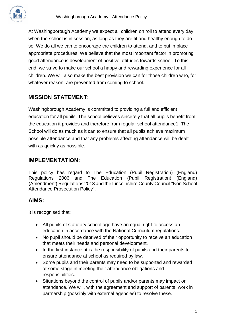

At Washingborough Academy we expect all children on roll to attend every day when the school is in session, as long as they are fit and healthy enough to do so. We do all we can to encourage the children to attend, and to put in place appropriate procedures. We believe that the most important factor in promoting good attendance is development of positive attitudes towards school. To this end, we strive to make our school a happy and rewarding experience for all children. We will also make the best provision we can for those children who, for whatever reason, are prevented from coming to school.

# **MISSION STATEMENT**:

Washingborough Academy is committed to providing a full and efficient education for all pupils. The school believes sincerely that all pupils benefit from the education it provides and therefore from regular school attendance1. The School will do as much as it can to ensure that all pupils achieve maximum possible attendance and that any problems affecting attendance will be dealt with as quickly as possible.

## **IMPLEMENTATION:**

This policy has regard to The Education (Pupil Registration) (England) Regulations 2006 and The Education (Pupil Registration) (England) (Amendment) Regulations 2013 and the Lincolnshire County Council "Non School Attendance Prosecution Policy".

## **AIMS:**

It is recognised that:

- All pupils of statutory school age have an equal right to access an education in accordance with the National Curriculum regulations.
- No pupil should be deprived of their opportunity to receive an education that meets their needs and personal development.
- In the first instance, it is the responsibility of pupils and their parents to ensure attendance at school as required by law.
- Some pupils and their parents may need to be supported and rewarded at some stage in meeting their attendance obligations and responsibilities.
- Situations beyond the control of pupils and/or parents may impact on attendance. We will, with the agreement and support of parents, work in partnership (possibly with external agencies) to resolve these.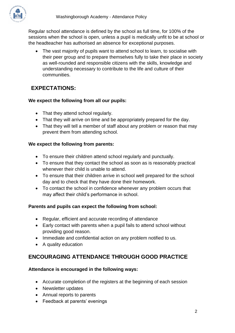Regular school attendance is defined by the school as full time, for 100% of the sessions when the school is open, unless a pupil is medically unfit to be at school or the headteacher has authorised an absence for exceptional purposes.

• The vast majority of pupils want to attend school to learn, to socialise with their peer group and to prepare themselves fully to take their place in society as well-rounded and responsible citizens with the skills, knowledge and understanding necessary to contribute to the life and culture of their communities.

# **EXPECTATIONS:**

## **We expect the following from all our pupils:**

- That they attend school regularly.
- That they will arrive on time and be appropriately prepared for the day.
- That they will tell a member of staff about any problem or reason that may prevent them from attending school.

## **We expect the following from parents:**

- To ensure their children attend school regularly and punctually.
- To ensure that they contact the school as soon as is reasonably practical whenever their child is unable to attend.
- To ensure that their children arrive in school well prepared for the school day and to check that they have done their homework.
- To contact the school in confidence whenever any problem occurs that may affect their child's performance in school.

## **Parents and pupils can expect the following from school:**

- Regular, efficient and accurate recording of attendance
- Early contact with parents when a pupil fails to attend school without providing good reason.
- Immediate and confidential action on any problem notified to us.
- A quality education

# **ENCOURAGING ATTENDANCE THROUGH GOOD PRACTICE**

#### **Attendance is encouraged in the following ways:**

- Accurate completion of the registers at the beginning of each session
- Newsletter updates
- Annual reports to parents
- Feedback at parents' evenings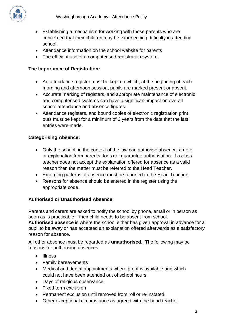

- Establishing a mechanism for working with those parents who are concerned that their children may be experiencing difficulty in attending school.
- Attendance information on the school website for parents
- The efficient use of a computerised registration system.

#### **The Importance of Registration:**

- An attendance register must be kept on which, at the beginning of each morning and afternoon session, pupils are marked present or absent.
- Accurate marking of registers, and appropriate maintenance of electronic and computerised systems can have a significant impact on overall school attendance and absence figures.
- Attendance registers, and bound copies of electronic registration print outs must be kept for a minimum of 3 years from the date that the last entries were made.

## **Categorising Absence:**

- Only the school, in the context of the law can authorise absence, a note or explanation from parents does not guarantee authorisation. If a class teacher does not accept the explanation offered for absence as a valid reason then the matter must be referred to the Head Teacher.
- Emerging patterns of absence must be reported to the Head Teacher.
- Reasons for absence should be entered in the register using the appropriate code.

#### **Authorised or Unauthorised Absence:**

Parents and carers are asked to notify the school by phone, email or in person as soon as is practicable if their child needs to be absent from school. **Authorised absence** is where the school either has given approval in advance for a pupil to be away or has accepted an explanation offered afterwards as a satisfactory reason for absence.

All other absence must be regarded as **unauthorised.** The following may be reasons for authorising absences:

- Illness
- Family bereavements
- Medical and dental appointments where proof is available and which could not have been attended out of school hours.
- Days of religious observance.
- Fixed term exclusion
- Permanent exclusion until removed from roll or re-instated.
- Other exceptional circumstance as agreed with the head teacher.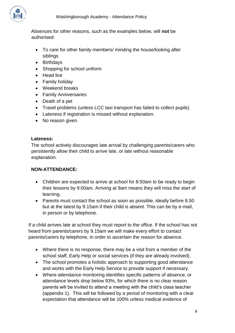

Absences for other reasons, such as the examples below, will **not** be authorised:

- To care for other family members/ minding the house/looking after siblings
- Birthdays
- Shopping for school uniform
- Head lice
- Family holiday
- Weekend breaks
- Family Anniversaries
- Death of a pet
- Travel problems (unless LCC taxi transport has failed to collect pupils)
- Lateness if registration is missed without explanation.
- No reason given.

#### **Lateness:**

The school actively discourages late arrival by challenging parents/carers who persistently allow their child to arrive late, or late without reasonable explanation.

#### **NON-ATTENDANCE:**

- Children are expected to arrive at school for 8:50am to be ready to begin their lessons by 9:00am. Arriving at 9am means they will miss the start of learning.
- Parents must contact the school as soon as possible, ideally before 8.50 but at the latest by 9.15am if their child is absent. This can be by e-mail, in person or by telephone.

If a child arrives late at school they must report to the office. If the school has not heard from parents/carers by 9.15am we will make every effort to contact parents/carers by telephone, in order to ascertain the reason for absence.

- Where there is no response, there may be a visit from a member of the school staff, Early Help or social services (if they are already involved).
- The school promotes a holistic approach to supporting good attendance and works with the Early Help Service to provide support if necessary.
- Where attendance monitoring identifies specific patterns of absence, or attendance levels drop below 93%, for which there is no clear reason parents will be invited to attend a meeting with the child's class teacher (appendix 1). This will be followed by a period of monitoring with a clear expectation that attendance will be 100% unless medical evidence of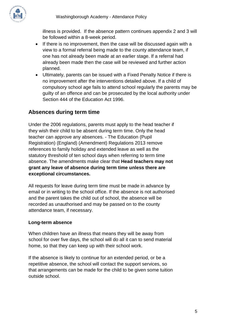

illness is provided. If the absence pattern continues appendix 2 and 3 will be followed within a 8-week period.

- If there is no improvement, then the case will be discussed again with a view to a formal referral being made to the county attendance team, if one has not already been made at an earlier stage. If a referral had already been made then the case will be reviewed and further action planned.
- Ultimately, parents can be issued with a Fixed Penalty Notice if there is no improvement after the interventions detailed above. If a child of compulsory school age fails to attend school regularly the parents may be guilty of an offence and can be prosecuted by the local authority under Section 444 of the Education Act 1996.

## **Absences during term time**

Under the 2006 regulations, parents must apply to the head teacher if they wish their child to be absent during term time. Only the head teacher can approve any absences. - The Education (Pupil Registration) (England) (Amendment) Regulations 2013 remove references to family holiday and extended leave as well as the statutory threshold of ten school days when referring to term time absence. The amendments make clear that **Head teachers may not grant any leave of absence during term time unless there are exceptional circumstances.** 

All requests for leave during term time must be made in advance by email or in writing to the school office. If the absence is not authorised and the parent takes the child out of school, the absence will be recorded as unauthorised and may be passed on to the county attendance team, if necessary.

#### **Long-term absence**

When children have an illness that means they will be away from school for over five days, the school will do all it can to send material home, so that they can keep up with their school work.

If the absence is likely to continue for an extended period, or be a repetitive absence, the school will contact the support services, so that arrangements can be made for the child to be given some tuition outside school.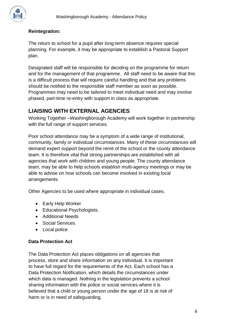

## **Reintegration:**

The return to school for a pupil after long-term absence requires special planning. For example, it may be appropriate to establish a Pastoral Support plan.

Designated staff will be responsible for deciding on the programme for return and for the management of that programme. All staff need to be aware that this is a difficult process that will require careful handling and that any problems should be notified to the responsible staff member as soon as possible. Programmes may need to be tailored to meet individual need and may involve phased, part-time re-entry with support in class as appropriate.

# **LIAISING WITH EXTERNAL AGENCIES**

Working Together –Washingborough Academy will work together in partnership with the full range of support services.

Poor school attendance may be a symptom of a wide range of institutional, community, family or individual circumstances. Many of these circumstances will demand expert support beyond the remit of the school or the county attendance team. It is therefore vital that strong partnerships are established with all agencies that work with children and young people. The county attendance team, may be able to help schools establish multi-agency meetings or may be able to advise on how schools can become involved in existing local arrangements.

Other Agencies to be used where appropriate in individual cases.

- Early Help Worker
- Educational Psychologists.
- Additional Needs
- Social Services.
- Local police

#### **Data Protection Act**

The Data Protection Act places obligations on all agencies that process, store and share information on any individual. It is important to have full regard for the requirements of the Act. Each school has a Data Protection Notification, which details the circumstances under which data is managed. Nothing in the legislation prevents a school sharing information with the police or social services where it is believed that a child or young person under the age of 18 is at risk of harm or is in need of safeguarding.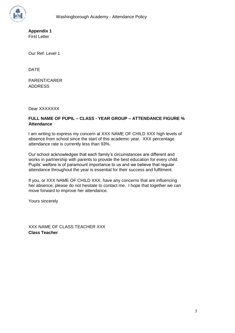**Appendix 1**  First Letter

Our Ref: Level 1

DATE

PARENT/CARER ADDRESS

Dear XXXXXXX

#### **FULL NAME OF PUPIL – CLASS - YEAR GROUP – ATTENDANCE FIGURE % Attendance**

I am writing to express my concern at XXX NAME OF CHILD XXX high levels of absence from school since the start of this academic year. XXX percentage attendance rate is currently less than 93%.

Our school acknowledges that each family's circumstances are different and works in partnership with parents to provide the best education for every child. Pupils' welfare is of paramount importance to us and we believe that regular attendance throughout the year is essential for their success and fulfilment.

If you, or XXX NAME OF CHILD XXX, have any concerns that are influencing her absence, please do not hesitate to contact me. I hope that together we can move forward to improve her attendance.

Yours sincerely

XXX NAME OF CLASS TEACHER XXX **Class Teacher**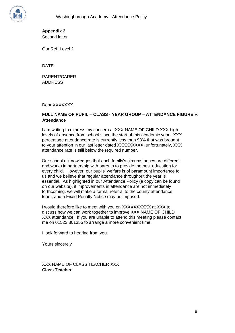

**Appendix 2**  Second letter

Our Ref: Level 2

DATE

PARENT/CARER ADDRESS

Dear XXXXXXX

#### **FULL NAME OF PUPIL – CLASS - YEAR GROUP – ATTENDANCE FIGURE % Attendance**

I am writing to express my concern at XXX NAME OF CHILD XXX high levels of absence from school since the start of this academic year. XXX percentage attendance rate is currently less than 93% that was brought to your attention in our last letter dated XXXXXXXXX; unfortunately, XXX attendance rate is still below the required number.

Our school acknowledges that each family's circumstances are different and works in partnership with parents to provide the best education for every child. However, our pupils' welfare is of paramount importance to us and we believe that regular attendance throughout the year is essential. As highlighted in our Attendance Policy (a copy can be found on our website), if improvements in attendance are not immediately forthcoming, we will make a formal referral to the county attendance team, and a Fixed Penalty Notice may be imposed.

I would therefore like to meet with you on XXXXXXXXXX at XXX to discuss how we can work together to improve XXX NAME OF CHILD XXX attendance. If you are unable to attend this meeting please contact me on 01522 801355 to arrange a more convenient time.

I look forward to hearing from you.

Yours sincerely

XXX NAME OF CLASS TEACHER XXX **Class Teacher**